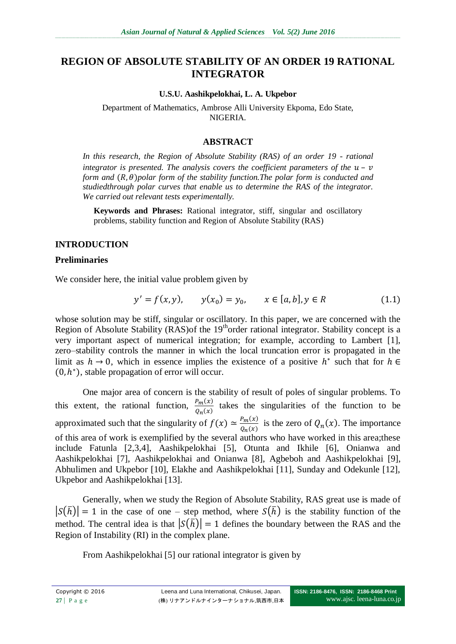# **REGION OF ABSOLUTE STABILITY OF AN ORDER 19 RATIONAL INTEGRATOR**

#### **U.S.U. Aashikpelokhai, L. A. Ukpebor**

Department of Mathematics, Ambrose Alli University Ekpoma, Edo State, NIGERIA.

### **ABSTRACT**

*In this research, the Region of Absolute Stability (RAS) of an order 19 - rational integrator is presented. The analysis covers the coefficient parameters of the*  $u - v$ *form and*  $(R, \theta)$  *polar form of the stability function. The polar form is conducted and studiedthrough polar curves that enable us to determine the RAS of the integrator. We carried out relevant tests experimentally.*

**Keywords and Phrases:** Rational integrator, stiff, singular and oscillatory problems, stability function and Region of Absolute Stability (RAS)

### **INTRODUCTION**

#### **Preliminaries**

We consider here, the initial value problem given by

$$
y' = f(x, y), \qquad y(x_0) = y_0, \qquad x \in [a, b], y \in R \tag{1.1}
$$

whose solution may be stiff, singular or oscillatory. In this paper, we are concerned with the Region of Absolute Stability (RAS) of the  $19<sup>th</sup>$  order rational integrator. Stability concept is a very important aspect of numerical integration; for example, according to Lambert [1], zero–stability controls the manner in which the local truncation error is propagated in the limit as  $h \to 0$ , which in essence implies the existence of a positive  $h^*$  such that for  $(0, h^*)$ , stable propagation of error will occur.

One major area of concern is the stability of result of poles of singular problems. To this extent, the rational function,  $\frac{r_m(x)}{Q_n(x)}$  takes the singularities of the function to be approximated such that the singularity of  $f(x) \approx \frac{P}{a}$  $\frac{P_m(x)}{Q_n(x)}$  is the zero of  $Q_n(x)$ . The importance of this area of work is exemplified by the several authors who have worked in this area;these include Fatunla [2,3,4], Aashikpelokhai [5], Otunta and Ikhile [6], Onianwa and Aashikpelokhai [7], Aashikpelokhai and Onianwa [8], Agbeboh and Aashikpelokhai [9], Abhulimen and Ukpebor [10], Elakhe and Aashikpelokhai [11], Sunday and Odekunle [12], Ukpebor and Aashikpelokhai [13].

Generally, when we study the Region of Absolute Stability, RAS great use is made of  $|S(\bar{h})| = 1$  in the case of one – step method, where  $S(\bar{h})$  is the stability function of the method. The central idea is that  $|S(\overline{h})| = 1$  defines the boundary between the RAS and the Region of Instability (RI) in the complex plane.

From Aashikpelokhai [5] our rational integrator is given by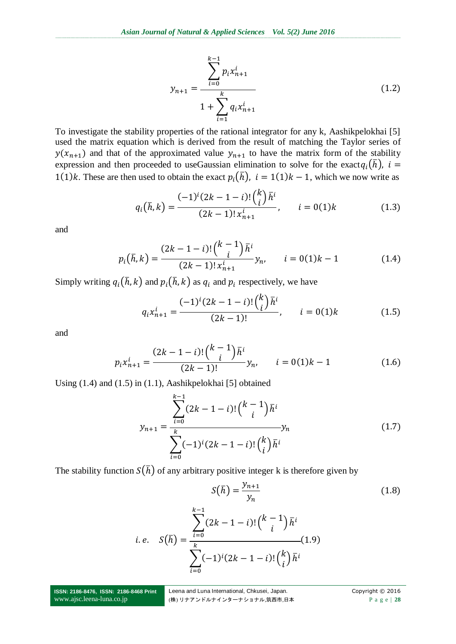$$
y_{n+1} = \frac{\sum_{i=0}^{k-1} p_i x_{n+1}^i}{1 + \sum_{i=1}^k q_i x_{n+1}^i}
$$
 (1.2)

To investigate the stability properties of the rational integrator for any k, Aashikpelokhai [5] used the matrix equation which is derived from the result of matching the Taylor series of  $y(x_{n+1})$  and that of the approximated value  $y_{n+1}$  to have the matrix form of the stability expression and then proceeded to use Gaussian elimination to solve for the exact  $q_i(\bar{h})$ ,  $i =$ 1(1)k. These are then used to obtain the exact  $p_i(\bar{h})$ ,  $i = 1(1)k - 1$ , which we now write as

$$
q_i(\bar{h}, k) = \frac{(-1)^i (2k - 1 - i)! {k \choose i} \bar{h}^i}{(2k - 1)! x_{n+1}^i}, \qquad i = 0(1)k
$$
 (1.3)

and

$$
p_i(\bar{h}, k) = \frac{(2k - 1 - i)! {k - 1 \choose i} \bar{h}^i}{(2k - 1)! x_{n+1}^i} y_n, \qquad i = 0(1)k - 1
$$
 (1.4)

Simply writing  $q_i(\bar{h}, k)$  and  $p_i(\bar{h}, k)$  as  $q_i$  and  $p_i$  respectively, we have

$$
q_i x_{n+1}^i = \frac{(-1)^i (2k - 1 - i)! {k \choose i} \bar{h}^i}{(2k - 1)!}, \qquad i = 0(1)k
$$
 (1.5)

and

$$
p_i x_{n+1}^i = \frac{(2k-1-i)! \binom{k-1}{i} \bar{h}^i}{(2k-1)!} y_n, \qquad i = 0(1)k-1 \tag{1.6}
$$

Using (1.4) and (1.5) in (1.1), Aashikpelokhai [5] obtained

$$
y_{n+1} = \frac{\sum_{i=0}^{k-1} (2k - 1 - i)! {k-1 \choose i} \bar{h}^{i}}{\sum_{i=0}^{k} (-1)^{i} (2k - 1 - i)! {k \choose i} \bar{h}^{i}}
$$
(1.7)

The stability function  $S(\bar{h})$  of any arbitrary positive integer k is therefore given by

$$
S(\bar{h}) = \frac{y_{n+1}}{y_n}
$$
\n
$$
i.e. \quad S(\bar{h}) = \frac{\sum_{i=0}^{k-1} (2k - 1 - i)! {k-1 \choose i} \bar{h}^i}{\sum_{i=0}^{k} (-1)^i (2k - 1 - i)! {k \choose i} \bar{h}^i}
$$
\n(1.9)

**ISSN: 2186-8476, ISSN: 2186-8468 Print** www.ajsc.leena-luna.co.jp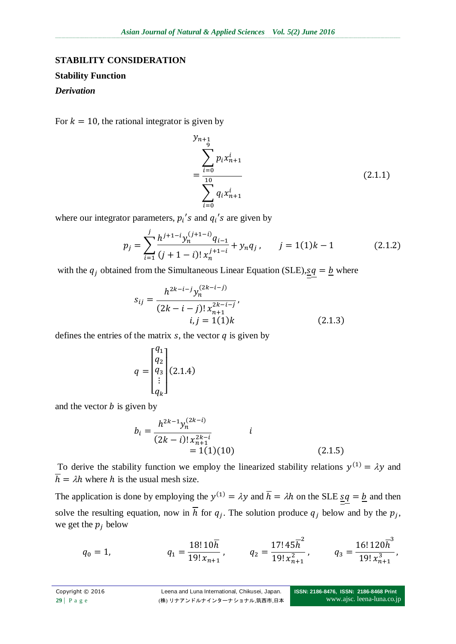### **STABILITY CONSIDERATION**

### **Stability Function**

### *Derivation*

For  $k = 10$ , the rational integrator is given by

$$
y_{n+1} \n= \frac{\sum_{i=0}^{i=0} p_i x_{n+1}^i}{\sum_{i=0}^{10} q_i x_{n+1}^i}
$$
\n(2.1.1)

where our integrator parameters,  $p_i$ 's and  $q_i$ 's are given by

$$
p_j = \sum_{i=1}^j \frac{h^{j+1-i} y_n^{(j+1-i)} q_{i-1}}{(j+1-i)! x_n^{j+1-i}} + y_n q_j, \qquad j = 1(1)k - 1 \tag{2.1.2}
$$

with the  $q_i$  obtained from the Simultaneous Linear Equation (SLE),  $sq = b$  where

$$
s_{ij} = \frac{h^{2k-i-j} y_n^{(2k-i-j)}}{(2k-i-j)! x_{n+1}^{2k-i-j}},
$$
  
\n
$$
i, j = 1(1)k
$$
 (2.1.3)

defines the entries of the matrix  $s$ , the vector  $q$  is given by

$$
q = \begin{bmatrix} q_1 \\ q_2 \\ q_3 \\ \vdots \\ q_k \end{bmatrix} (2.1.4)
$$

and the vector  $b$  is given by

$$
b_i = \frac{h^{2k-1} y_n^{(2k-i)}}{(2k-i)! x_{n+1}^{2k-i}} \qquad i
$$
  
= 1(1)(10) (2.1.5)

To derive the stability function we employ the linearized stability relations  $y^{(1)} = \lambda y$  and  $\overline{h} = \lambda h$  where h is the usual mesh size.

The application is done by employing the  $y^{(1)} = \lambda y$  and  $\overline{h} = \lambda h$  on the SLE sq = b and then solve the resulting equation, now in h for  $q_i$ . The solution produce  $q_i$  below and by the  $p_i$ , we get the  $p_i$  below

$$
q_0 = 1, \t q_1 = \frac{18! \, 10 \overline{h}}{19! \, x_{n+1}}, \t q_2 = \frac{17! \, 45 \overline{h}^2}{19! \, x_{n+1}^2}, \t q_3 = \frac{16! \, 120 \overline{h}^3}{19! \, x_{n+1}^3},
$$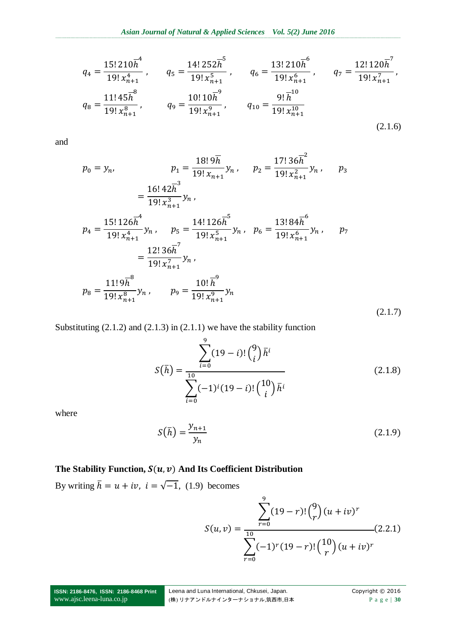$$
q_{4} = \frac{15! \, 210 \overline{h}^{4}}{19! \, x_{n+1}^{4}}, \qquad q_{5} = \frac{14! \, 252 \overline{h}^{5}}{19! \, x_{n+1}^{5}}, \qquad q_{6} = \frac{13! \, 210 \overline{h}^{6}}{19! \, x_{n+1}^{6}}, \qquad q_{7} = \frac{12! \, 120 \overline{h}^{7}}{19! \, x_{n+1}^{7}},
$$

$$
q_{8} = \frac{11! \, 45 \overline{h}^{8}}{19! \, x_{n+1}^{8}}, \qquad q_{9} = \frac{10! \, 10 \overline{h}^{9}}{19! \, x_{n+1}^{9}}, \qquad q_{10} = \frac{9! \, \overline{h}^{10}}{19! \, x_{n+1}^{10}}
$$
(2.1.6)

and

$$
p_0 = y_n, \t p_1 = \frac{18! \, 9 \overline{h}}{19! \, x_{n+1}} y_n, \t p_2 = \frac{17! \, 36 \overline{h}^2}{19! \, x_{n+1}^2} y_n, \t p_3
$$
  
\n
$$
= \frac{16! \, 42 \overline{h}^3}{19! \, x_{n+1}^3} y_n,
$$
  
\n
$$
p_4 = \frac{15! \, 126 \overline{h}^4}{19! \, x_{n+1}^4} y_n, \t p_5 = \frac{14! \, 126 \overline{h}^5}{19! \, x_{n+1}^5} y_n, \t p_6 = \frac{13! \, 84 \overline{h}^6}{19! \, x_{n+1}^6} y_n, \t p_7
$$
  
\n
$$
= \frac{12! \, 36 \overline{h}^7}{19! \, x_{n+1}^7} y_n,
$$
  
\n
$$
p_8 = \frac{11! \, 9 \overline{h}^8}{19! \, x_{n+1}^8} y_n, \t p_9 = \frac{10! \, \overline{h}^9}{19! \, x_{n+1}^9} y_n
$$
  
\n(2.1.7)

Substituting (2.1.2) and (2.1.3) in (2.1.1) we have the stability function

$$
S(\bar{h}) = \frac{\sum_{i=0}^{9} (19-i)! {9 \choose i} \bar{h}^{i}}{\sum_{i=0}^{10} (-1)^{i} (19-i)! {10 \choose i} \bar{h}^{i}}
$$
(2.1.8)

where

$$
S(\bar{h}) = \frac{y_{n+1}}{y_n} \tag{2.1.9}
$$

## The Stability Function,  $S(u, v)$  And Its Coefficient Distribution

By writing  $\bar{h} = u + iv$ ,  $i = \sqrt{-1}$ , (1.9) becomes

$$
S(u,v) = \frac{\sum_{r=0}^{9} (19-r)! {9 \choose r} (u+iv)^r}{\sum_{r=0}^{10} (-1)^r (19-r)! {10 \choose r} (u+iv)^r}
$$
(2.2.1)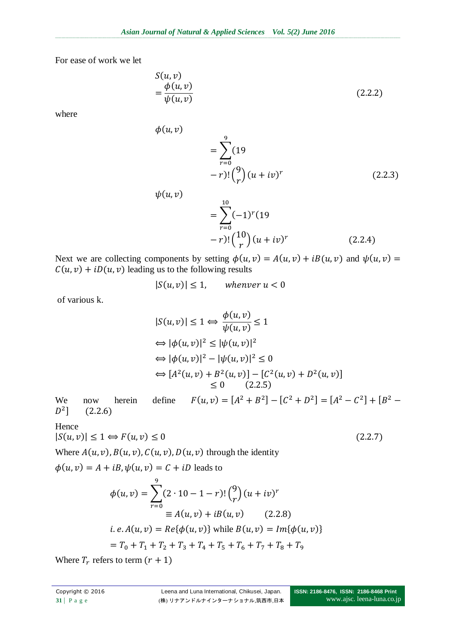For ease of work we let

$$
S(u, v)
$$
  
=  $\frac{\phi(u, v)}{\psi(u, v)}$  (2.2.2)

where

$$
= \sum_{r=0}^{9} (19 - r)! {9 \choose r} (u + iv)^r
$$
 (2.2.3)

$$
\psi(u, v) = \sum_{r=0}^{10} (-1)^r (19 - r)! {10 \choose r} (u + iv)^r
$$
\n(2.2.4)

Next we are collecting components by setting  $\phi(u, v) = A(u, v) + iB(u, v)$  and  $\psi(u, v) =$  $C(u, v) + iD(u, v)$  leading us to the following results

$$
|S(u,v)| \le 1, \qquad \text{whenever } u < 0
$$

of various k.

$$
|S(u, v)| \le 1 \Leftrightarrow \frac{\phi(u, v)}{\psi(u, v)} \le 1
$$
  
\n
$$
\Leftrightarrow |\phi(u, v)|^2 \le |\psi(u, v)|^2
$$
  
\n
$$
\Leftrightarrow |\phi(u, v)|^2 - |\psi(u, v)|^2 \le 0
$$
  
\n
$$
\Leftrightarrow [A^2(u, v) + B^2(u, v)] - [C^2(u, v) + D^2(u, v)]
$$
  
\n
$$
\le 0 \qquad (2.2.5)
$$

We now herein define  $F(u, v) = [A^2 + B^2] - [C^2 + D^2] = [A^2 - C^2] + [B^2]$  $D^2$ ] (

Hence

$$
|S(u,v)| \le 1 \Leftrightarrow F(u,v) \le 0 \tag{2.2.7}
$$

Where  $A(u, v)$ ,  $B(u, v)$ ,  $C(u, v)$ ,  $D(u, v)$  through the identity

 $\phi(u,v)$ 

 $\phi(u, v) = A + iB, \psi(u, v) = C + iD$  leads to

$$
\phi(u, v) = \sum_{r=0}^{9} (2 \cdot 10 - 1 - r)! {9 \choose r} (u + iv)^r
$$
  
\n
$$
\equiv A(u, v) + iB(u, v) \qquad (2.2.8)
$$
  
\n*i. e. A(u, v) = Re{\phi(u, v)} while B(u, v) = Im{\phi(u, v)}*  
\n
$$
= T_0 + T_1 + T_2 + T_3 + T_4 + T_5 + T_6 + T_7 + T_8 + T_9
$$

Where  $T_r$  refers to term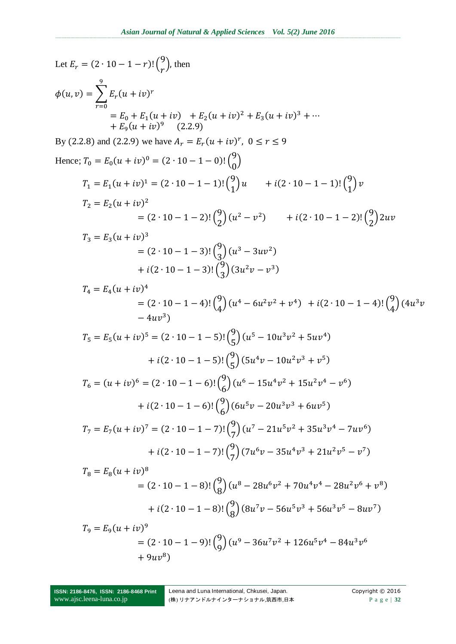Let  $E_r = (2 \cdot 10 - 1 - r)! {9 \choose r}$ , then  $\phi(u,v) = \sum_{r=0}^{n} E_r(u + iv)^r$ =  $E_0 + E_1(u + iv) + E_2(u + iv)^2 + E_3(u + iv)^3 + \cdots$ <br>+  $E_9(u + iv)^9$  (2.2.9) By (2.2.8) and (2.2.9) we have  $A_r = E_r(u + iv)^r$ ,  $0 \le r \le 9$ Hence;  $T_0 = E_0(u + iv)^0 = (2 \cdot 10 - 1 - 0)!\binom{9}{0}$  $T_1 = E_1(u + iv)^1 = (2 \cdot 10 - 1 - 1) \cdot {9 \choose 1} u + i(2 \cdot 10 - 1 - 1) \cdot {9 \choose 1} v$  $T_2 = E_2(u + iv)^2$ =  $(2 \cdot 10 - 1 - 2)$ ! $\binom{9}{2} (u^2 - v^2)$  +  $i(2 \cdot 10 - 1 - 2)$ ! $\binom{9}{2} 2uv$  $T_3 = E_3(u + iv)^3$  $= (2 \cdot 10 - 1 - 3)! {9 \choose 2} (u^3 - 3uv^2)$ +  $i(2 \cdot 10 - 1 - 3)!\binom{9}{3}(3u^2v - v^3)$  $T_{4} = E_{4}(u + iv)^{4}$ =  $(2 \cdot 10 - 1 - 4)$ ! $\binom{9}{4} (u^4 - 6u^2v^2 + v^4)$  +  $i(2 \cdot 10 - 1 - 4)$ ! $\binom{9}{4} (4u^3v^2 + v^4)$  $-4uy^{3}$  $T_5 = E_5(u + iv)^5 = (2 \cdot 10 - 1 - 5) \cdot {9 \choose 5} (u^5 - 10u^3v^2 + 5uv^4)$ +  $i(2\cdot 10 - 1 - 5)$ ! $\binom{9}{5}$   $(5u^4v - 10u^2v^3 + v^5)$  $T_6 = (u + iv)^6 = (2 \cdot 10 - 1 - 6) \left(\frac{9}{6}\right) (u^6 - 15u^4v^2 + 15u^2v^4 - v^6)$ +  $i(2 \cdot 10 - 1 - 6)$ ! $\binom{9}{6} (6u^5v - 20u^3v^3 + 6uv^5)$  $T_7 = E_7(u + iv)^7 = (2 \cdot 10 - 1 - 7) \cdot {9 \choose 7} (u^7 - 21u^5v^2 + 35u^3v^4 - 7uv^6)$ +  $i(2\cdot 10 - 1 - 7)! {9 \choose 7} (7u^6v - 35u^4v^3 + 21u^2v^5 - v^7)$  $T_8 = E_8(u + iv)^8$  $= (2 \cdot 10 - 1 - 8)!\binom{9}{0}(u^8 - 28u^6v^2 + 70u^4v^4 - 28u^2v^6 + v^8)$ +  $i(2 \cdot 10 - 1 - 8)$ ! $\binom{9}{8}(8u^7v - 56u^5v^3 + 56u^3v^5 - 8uv^7)$  $T_9 = E_9(u + iv)^9$ =  $(2 \cdot 10 - 1 - 9)$ ! $\binom{9}{9}(u^9 - 36u^7v^2 + 126u^5v^4 - 84u^3v^6)$  $+9u^8$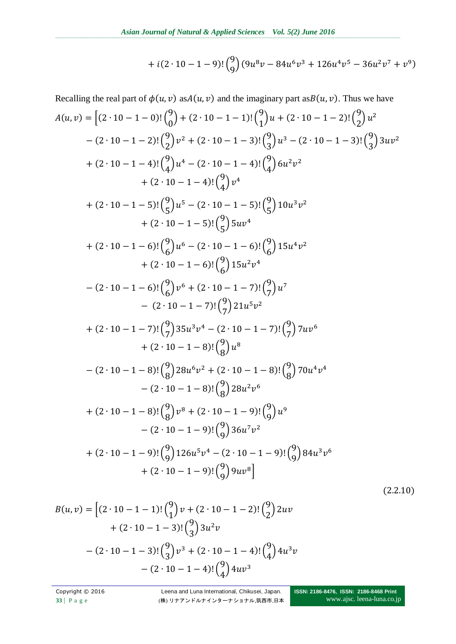+ 
$$
i(2 \cdot 10 - 1 - 9)!(\binom{9}{9}(9u^8v - 84u^6v^3 + 126u^4v^5 - 36u^2v^7 + v^9)
$$

Recalling the real part of 
$$
\phi(u, v)
$$
 as  $A(u, v)$  and the imaginary part as  $B(u, v)$ . Thus we have  
\n
$$
A(u, v) = [(2 \cdot 10 - 1 - 0)!(\frac{9}{0}) + (2 \cdot 10 - 1 - 1)!(\frac{9}{1})u + (2 \cdot 10 - 1 - 2)!(\frac{9}{2})u^2
$$
\n
$$
- (2 \cdot 10 - 1 - 2)!(\frac{9}{2})v^2 + (2 \cdot 10 - 1 - 3)!(\frac{9}{4})u^3 - (2 \cdot 10 - 1 - 3)!(\frac{9}{4})3uv^2
$$
\n
$$
+ (2 \cdot 10 - 1 - 4)!(\frac{9}{4})u^4 - (2 \cdot 10 - 1 - 4)!(\frac{9}{4})\omega^2v^2
$$
\n
$$
+ (2 \cdot 10 - 1 - 5)!(\frac{9}{4})v^5 - (2 \cdot 10 - 1 - 5)!(\frac{9}{5})10u^3v^2
$$
\n
$$
+ (2 \cdot 10 - 1 - 5)!(\frac{9}{5})5uv^4
$$
\n
$$
+ (2 \cdot 10 - 1 - 6)!(\frac{9}{6})u^6 - (2 \cdot 10 - 1 - 6)!(\frac{9}{6})15u^4v^2
$$
\n
$$
+ (2 \cdot 10 - 1 - 6)!(\frac{9}{6})15u^2v^4
$$
\n
$$
- (2 \cdot 10 - 1 - 6)!(\frac{9}{6})v^6 + (2 \cdot 10 - 1 - 7)!(\frac{9}{7})u^7
$$
\n
$$
- (2 \cdot 10 - 1 - 7)!(\frac{9}{7})21u^5v^2
$$
\n
$$
+ (2 \cdot 10 - 1 - 7)!(\frac{9}{7})21u^5v^2
$$
\n
$$
+ (2 \cdot 10 - 1 - 8)!(\frac{9}{8})u^8v^4 - (2 \cdot 10 - 1 - 7)!(\frac{9}{7})7uv^6
$$
\n
$$
+ (2 \cdot 10 - 1 - 8)!(\frac{9}{8})28u^5v^2 + (2 \cdot 10 - 1 - 8)!(\
$$

$$
B(u, v) = \left[ (2 \cdot 10 - 1 - 1)! {9 \choose 1} v + (2 \cdot 10 - 1 - 2)! {9 \choose 2} 2uv + (2 \cdot 10 - 1 - 3)! {9 \choose 3} 3u^2v - (2 \cdot 10 - 1 - 3)! {9 \choose 3} v^3 + (2 \cdot 10 - 1 - 4)! {9 \choose 4} 4u^3v - (2 \cdot 10 - 1 - 4)! {9 \choose 4} 4uv^3
$$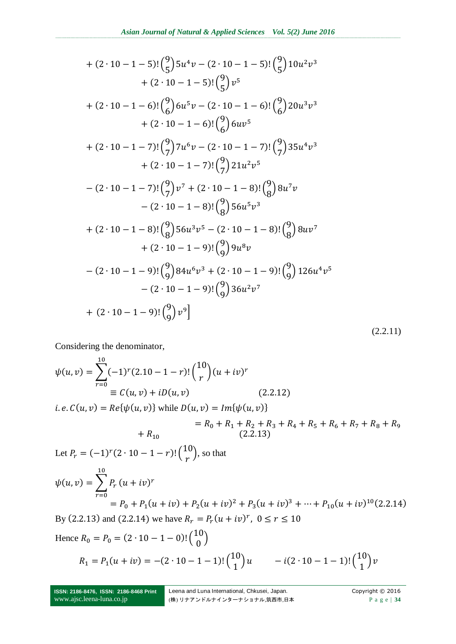+ 
$$
(2 \cdot 10 - 1 - 5)!\binom{9}{5} 5u^4v - (2 \cdot 10 - 1 - 5)!\binom{9}{5} 10u^2v^3
$$
  
\t+  $(2 \cdot 10 - 1 - 5)!\binom{9}{5}v^5$   
\t+  $(2 \cdot 10 - 1 - 6)!\binom{9}{6} 6u^5v - (2 \cdot 10 - 1 - 6)!\binom{9}{6} 20u^3v^3$   
\t+  $(2 \cdot 10 - 1 - 6)!\binom{9}{6} 6uv^5$   
\t+  $(2 \cdot 10 - 1 - 7)!\binom{9}{7} 7u^6v - (2 \cdot 10 - 1 - 7)!\binom{9}{7} 35u^4v^3$   
\t+  $(2 \cdot 10 - 1 - 7)!\binom{9}{7} 21u^2v^5$   
\t-  $(2 \cdot 10 - 1 - 7)!\binom{9}{7} v^7 + (2 \cdot 10 - 1 - 8)!\binom{9}{8} 8u^7v$   
\t-  $(2 \cdot 10 - 1 - 8)!\binom{9}{8} 56u^5v^3$   
\t+  $(2 \cdot 10 - 1 - 8)!\binom{9}{8} 56u^3v^5 - (2 \cdot 10 - 1 - 8)!\binom{9}{8} 8uv^7$   
\t+  $(2 \cdot 10 - 1 - 9)!\binom{9}{9} 9u^8v$   
\t-  $(2 \cdot 10 - 1 - 9)!\binom{9}{9} 84u^6v^3 + (2 \cdot 10 - 1 - 9)!\binom{9}{9} 126u^4v^5$   
\t-  $(2 \cdot 10 - 1 - 9)!\binom{9}{9} 84u^6v^3 + (2 \cdot 10 - 1 - 9)!\binom{9}{9} 126u^4v^5$   
\t-  $(2 \cdot 10 - 1 - 9)!\binom{9}{9} v^9$ 

Considering the denominator,

$$
\psi(u,v) = \sum_{r=0}^{10} (-1)^r (2.10 - 1 - r)! {10 \choose r} (u + iv)^r
$$
  
\n
$$
\equiv C(u,v) + iD(u,v) \qquad (2.2.12)
$$

*i.e.*  $C(u, v) = Re{\psi(u, v)}$  while  $D(u, v) = Im{\psi(u, v)}$ =  $R_0 + R_1 + R_2 + R_3 + R_4 + R_5 + R_6 + R_7 + R_8 + R_9$ <br>(2.2.13)  $+ R_{10}$ Let  $P_r = (-1)^r (2 \cdot 10 - 1 - r)!$   $\binom{1}{r}$  $\binom{10}{r}$ , so that  $\psi(u,v) = \sum P_v$  $\mathbf{1}$ r  $(u + iv)^r$  $= P_0 + P_1(u + iv) + P_2(u + iv)^2 + P_3(u + iv)^3 + \dots + P_{10}(u + iv)^1$ By (2.2.13) and (2.2.14) we have  $R_r = P_r(u + iv)^r$ , Hence  $R_0 = P_0 = (2 \cdot 10 - 1 - 0)!\binom{1}{6}$  $\binom{10}{0}$ 

$$
R_1 = P_1(u + iv) = -(2 \cdot 10 - 1 - 1)!\binom{10}{1}u \qquad -i(2 \cdot 10 - 1 - 1)!\binom{10}{1}v
$$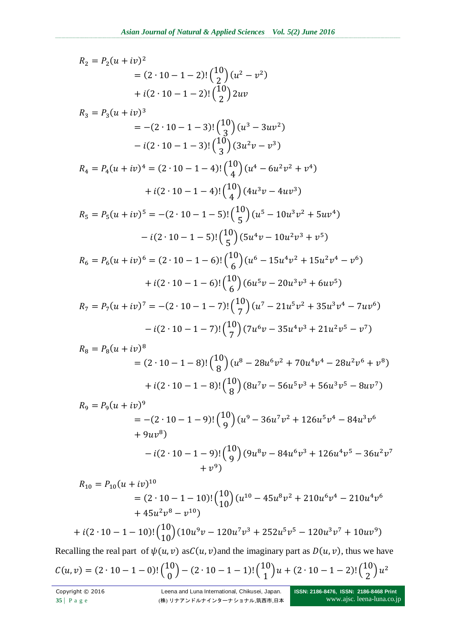$R_2 = P_2(u + iv)^2$  $=(2 \cdot 10 - 1 - 2)!\binom{1}{2}$  $\binom{10}{2} (u^2 - v^2)$ +  $i(2 \cdot 10 - 1 - 2)$ ! $\binom{1}{2}$  $\binom{10}{2}$  $R_3 = P_3(u + iv)^3$  $=-(2 \cdot 10 - 1 - 3)!\binom{1}{5}$  $\binom{10}{3}(u^3-3uv^2)$  $-i(2\cdot 10-1-3)!\binom{1}{5}$  $\binom{10}{3}(3u^2v-v^3)$  $R_4 = P_4(u + iv)^4 = (2 \cdot 10 - 1 - 4) \left(\frac{1}{2}\right)$  $\binom{10}{4}(u^4-6u^2v^2+v^4)$  $+i(2\cdot 10-1-4)!\binom{1}{2}$  $\binom{10}{4} (4u^3v - 4uv^3)$  $R_5 = P_5(u + iv)^5 = -(2 \cdot 10 - 1 - 5)!\binom{1}{5}$  $\binom{10}{5}(u^5-10u^3v^2+5uv^4)$  $-i(2\cdot 10-1-5)!\binom{1}{1}$  $\binom{10}{5}$  $(5u^4v - 10u^2v^3 + v^5)$  $R_6 = P_6(u + iv)^6 = (2 \cdot 10 - 1 - 6)!\binom{1}{5}$  $\binom{10}{6}(u^6-15u^4v^2+15u^2v^4-v^6)$  $+i(2\cdot 10-1-6)!\binom{1}{2}$  $\binom{10}{6}$ (6 $u^5v - 20u^3v^3 + 6uv^5$  $R_7 = P_7(u + iv)^7 = -(2 \cdot 10 - 1 - 7)!\binom{1}{5}$  $\binom{10}{7}(u^7-21u^5v^2+35u^3v^4-7uv^6)$  $-i(2\cdot 10-1-7)!\binom{1}{t}$  $\binom{10}{7}$ (7 $u^6v - 35u^4v^3 + 21u^2v^5 - v^7$  $R_8 = P_8(u + iv)^8$  $=(2 \cdot 10 - 1 - 8)!\binom{1}{6}$  $\binom{10}{8}(u^8-28u^6v^2+70u^4v^4-28u^2v^6+v^8)$  $+i(2\cdot 10-1-8)!\binom{1}{6}$  $\binom{10}{8}(8u^7v-56u^5v^3+56u^3v^5-8uv^7)$  $R_9 = P_9(u + iv)^9$  $=-(2\cdot 10-1-9)!\binom{1}{6}$  $\binom{10}{9}(u^9-36u^7v^2+126u^5v^4-84u^3v^6)$  $+9uv^8$  $-i(2\cdot 10-1-9)!\binom{1}{6}$  $\binom{10}{9}(9u^8v-84u^6v^3+126u^4v^5-36u^2v^7)$  $+v^9$  $R_{10} = P_{10}(u + iv)^1$ =  $(2 \cdot 10 - 1 - 10)$ ! $\binom{10}{10} (u^{10} - 45u^8v^2 + 210u^6v^4 - 210u^4v^6)$  $+45u^2v^8-v^1$ +  $i(2 \cdot 10 - 1 - 10)$ ! $\binom{10}{10} (10u^9v - 120u^7v^3 + 252u^5v^5 - 120u^3v^7 + 10uv^9)$ 

Recalling the real part of  $\psi(u, v)$  as  $C(u, v)$  and the imaginary part as  $D(u, v)$ , thus we have

$$
C(u,v) = (2 \cdot 10 - 1 - 0) \cdot {10 \choose 0} - (2 \cdot 10 - 1 - 1) \cdot {10 \choose 1} u + (2 \cdot 10 - 1 - 2) \cdot {10 \choose 2} u^2
$$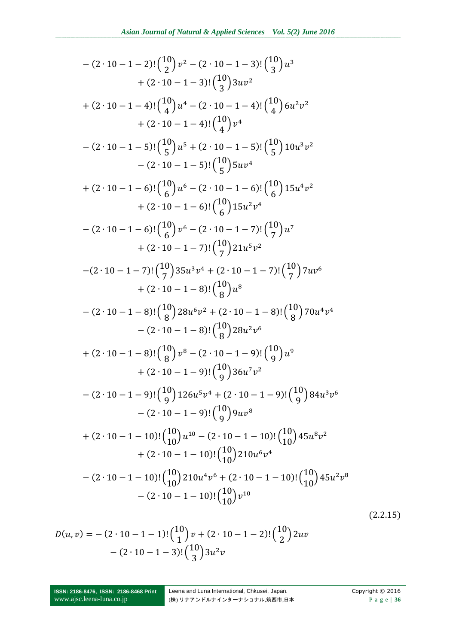$$
-(2 \cdot 10 - 1 - 2)!\binom{10}{2}v^2 - (2 \cdot 10 - 1 - 3)!\binom{10}{3}uv^3
$$
  
+  $(2 \cdot 10 - 1 - 4)!\binom{10}{4}3uv^2$   
+  $(2 \cdot 10 - 1 - 4)!\binom{10}{4}v^4 - (2 \cdot 10 - 1 - 4)!\binom{10}{4}v^2$   
+  $(2 \cdot 10 - 1 - 4)!\binom{10}{4}v^4$   
-  $(2 \cdot 10 - 1 - 5)!\binom{10}{5}v^5 + (2 \cdot 10 - 1 - 5)!\binom{10}{5}10u^3v^2$   
-  $(2 \cdot 10 - 1 - 5)!\binom{10}{6}u^5 + (2 \cdot 10 - 1 - 5)!\binom{10}{5}10u^3v^2$   
-  $(2 \cdot 10 - 1 - 6)!\binom{10}{6}u^6 - (2 \cdot 10 - 1 - 6)!\binom{10}{6}15u^4v^2$   
+  $(2 \cdot 10 - 1 - 6)!\binom{10}{6}u^6 - (2 \cdot 10 - 1 - 7)!\binom{10}{7}u^7$   
+  $(2 \cdot 10 - 1 - 6)!\binom{10}{6}v^6 - (2 \cdot 10 - 1 - 7)!\binom{10}{7}u^7$   
+  $(2 \cdot 10 - 1 - 7)!\binom{10}{7}21u^5v^2$   
- $(2 \cdot 10 - 1 - 7)!\binom{10}{7}21u^5v^2$   
- $(2 \cdot 10 - 1 - 8)!\binom{10}{8}u^8v^4 + (2 \cdot 10 - 1 - 7)!\binom{10}{7}7uv^6$   
+  $(2 \cdot 10 - 1 - 8)!\binom{10}{8}u^8v^2$   
-  $(2 \cdot 10 - 1 - 8)!\binom{10}{8}u^8v^2$   
+  $(2 \cdot 10 - 1 - 8)!\binom{10}{8}u^3v^2$   
-  $(2 \cdot 10 -$ 

$$
D(u, v) = -(2 \cdot 10 - 1 - 1)!\binom{10}{1}v + (2 \cdot 10 - 1 - 2)!\binom{10}{2}2uv - (2 \cdot 10 - 1 - 3)!\binom{10}{3}3u^2v
$$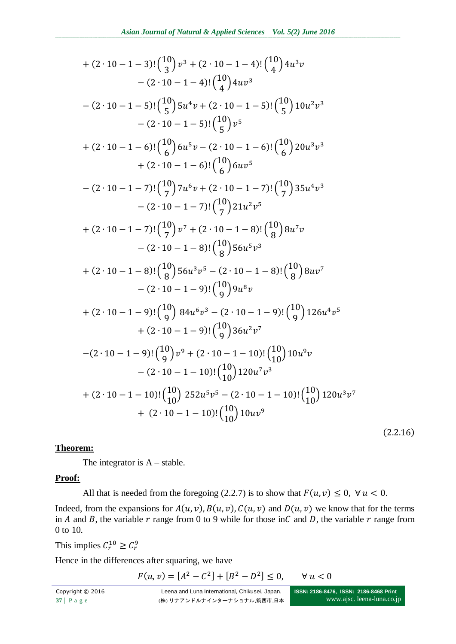+ 
$$
(2 \cdot 10 - 1 - 3)!\binom{10}{3}v^3 + (2 \cdot 10 - 1 - 4)!\binom{10}{4}4u^3v
$$
  
\t $- (2 \cdot 10 - 1 - 5)!\binom{10}{5}5u^4v + (2 \cdot 10 - 1 - 5)!\binom{10}{5}10u^2v^3$   
\t $- (2 \cdot 10 - 1 - 5)!\binom{10}{5}5u^4v + (2 \cdot 10 - 1 - 5)!\binom{10}{5}10u^2v^3$   
\t $- (2 \cdot 10 - 1 - 5)!\binom{10}{5}v^5$   
\t+  $(2 \cdot 10 - 1 - 6)!\binom{10}{6}6u^5v - (2 \cdot 10 - 1 - 6)!\binom{10}{6}20u^3v^3$   
\t $+ (2 \cdot 10 - 1 - 6)!\binom{10}{6}6u^5$   
\t $- (2 \cdot 10 - 1 - 7)!\binom{10}{7}7u^6v + (2 \cdot 10 - 1 - 7)!\binom{10}{7}35u^4v^3$   
\t $- (2 \cdot 10 - 1 - 7)!\binom{10}{7}21u^2v^5$   
\t+  $(2 \cdot 10 - 1 - 7)!\binom{10}{7}v^7 + (2 \cdot 10 - 1 - 8)!\binom{10}{8}8u^7v$   
\t $- (2 \cdot 10 - 1 - 8)!\binom{10}{8}56u^5v^3$   
\t+  $(2 \cdot 10 - 1 - 8)!\binom{10}{8}56u^5v^3$   
\t+  $(2 \cdot 10 - 1 - 9)!\binom{10}{9}9u^8v$   
\t+  $(2 \cdot 10 - 1 - 9)!\binom{10}{9}9u^8v$   
\t+  $(2 \cdot 10 - 1 - 9)!\binom{10}{9}9u^8v^7$   
\t $- (2 \cdot 10 - 1 - 9)!\binom{10}{9}9u^8v^7$   
\t+  $(2 \cdot 10 - 1 - 9)!\$ 

### **Theorem:**

The integrator is  $A$  – stable.

### **Proof:**

All that is needed from the foregoing (2.2.7) is to show that  $F(u, v) \le 0$ ,  $\forall u < 0$ .

Indeed, from the expansions for  $A(u, v)$ ,  $B(u, v)$ ,  $C(u, v)$  and  $D(u, v)$  we know that for the terms in A and B, the variable  $r$  range from 0 to 9 while for those in C and D, the variable  $r$  range from 0 to 10.

This implies  $C_r^{10} \ge C_r^9$ 

Hence in the differences after squaring, we have

 $F(u, v) = [A^2 - C^2] + [B^2 - D^2] \le$  $\forall u < 0$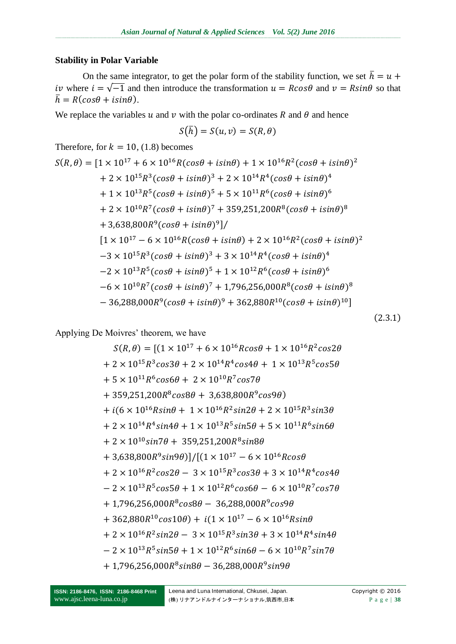### **Stability in Polar Variable**

On the same integrator, to get the polar form of the stability function, we set  $\bar{h} = u +$ *iv* where  $i = \sqrt{-1}$  and then introduce the transformation  $u = R\cos\theta$  and  $v = R\sin\theta$  so that  $\bar{h} = R(cos\theta + isin\theta).$ 

We replace the variables u and v with the polar co-ordinates R and  $\theta$  and hence

$$
S(\overline{h})=S(u,v)=S(R,\theta)
$$

Therefore, for  $k = 10$ , (1.8) becomes

$$
S(R, \theta) = [1 \times 10^{17} + 6 \times 10^{16}R(cos\theta + i sin\theta) + 1 \times 10^{16}R^2(cos\theta + i sin\theta)^2
$$
  
+ 2 × 10<sup>15</sup>R<sup>3</sup>(cos\theta + i sin\theta)<sup>3</sup> + 2 × 10<sup>14</sup>R<sup>4</sup>(cos\theta + i sin\theta)<sup>4</sup>  
+ 1 × 10<sup>13</sup>R<sup>5</sup>(cos\theta + i sin\theta)<sup>5</sup> + 5 × 10<sup>11</sup>R<sup>6</sup>(cos\theta + i sin\theta)<sup>6</sup>  
+ 2 × 10<sup>10</sup>R<sup>7</sup>(cos\theta + i sin\theta)<sup>7</sup> + 359,251,200R<sup>8</sup>(cos\theta + i sin\theta)<sup>8</sup>  
+ 3,638,800R<sup>9</sup>(cos\theta + i sin\theta)<sup>9</sup>]/  
[1 × 10<sup>17</sup> – 6 × 10<sup>16</sup>R(cos\theta + i sin\theta) + 2 × 10<sup>16</sup>R<sup>2</sup>(cos\theta + i sin\theta)<sup>2</sup>  
-3 × 10<sup>15</sup>R<sup>3</sup>(cos\theta + i sin\theta)<sup>3</sup> + 3 × 10<sup>14</sup>R<sup>4</sup>(cos\theta + i sin\theta)<sup>4</sup>  
-2 × 10<sup>13</sup>R<sup>5</sup>(cos\theta + i sin\theta)<sup>5</sup> + 1 × 10<sup>12</sup>R<sup>6</sup>(cos\theta + i sin\theta)<sup>6</sup>  
-6 × 10<sup>10</sup>R<sup>7</sup>(cos\theta + i sin\theta)<sup>7</sup> + 1,796,256,000R<sup>8</sup>(cos\theta + i sin\theta)<sup>8</sup>  
- 36,288,000R<sup>9</sup>(cos\theta + i sin\theta)<sup>9</sup> + 362,880R<sup>10</sup>(cos\theta + i sin\theta)<sup>10</sup>]

 $(2.3.1)$ 

Applying De Moivres' theorem, we have

$$
S(R,\theta) = [(1 \times 10^{17} + 6 \times 10^{16}R \cos\theta + 1 \times 10^{16}R^2 \cos2\theta
$$
  
+ 2 × 10<sup>15</sup>R<sup>3</sup> cos3\theta + 2 × 10<sup>14</sup>R<sup>4</sup> cos4\theta + 1 × 10<sup>13</sup>R<sup>5</sup> cos5\theta  
+ 5 × 10<sup>11</sup>R<sup>6</sup> cos6\theta + 2 × 10<sup>10</sup>R<sup>7</sup> cos7\theta  
+ 359,251,200R<sup>8</sup> cos8\theta + 3,638,800R<sup>9</sup> cos9\theta)  
+ i(6 × 10<sup>16</sup>R sin\theta + 1 × 10<sup>16</sup>R<sup>2</sup> sin2\theta + 2 × 10<sup>15</sup>R<sup>3</sup> sin3\theta  
+ 2 × 10<sup>14</sup>R<sup>4</sup> sin4\theta + 1 × 10<sup>13</sup>R<sup>5</sup> sin5\theta + 5 × 10<sup>11</sup>R<sup>6</sup> sin6\theta  
+ 2 × 10<sup>10</sup> sin7\theta + 359,251,200R<sup>8</sup> sin8\theta  
+ 3,638,800R<sup>9</sup> sin9\theta)]/[(1 × 10<sup>17</sup> – 6 × 10<sup>16</sup>R cos\theta  
+ 2 × 10<sup>16</sup>R<sup>2</sup> cos2\theta – 3 × 10<sup>15</sup>R<sup>3</sup> cos3\theta + 3 × 10<sup>14</sup>R<sup>4</sup> cos4\theta  
- 2 × 10<sup>13</sup>R<sup>5</sup> cos5\theta + 1 × 10<sup>12</sup>R<sup>6</sup> cos6\theta – 6 × 10<sup>10</sup>R<sup>7</sup> cos7\theta  
+ 1,796,256,000R<sup>8</sup> cos8\theta – 36,288,000R<sup>9</sup> cos9\theta  
+ 362,880R<sup>10</sup> cos10\theta) + i(1 × 10<sup>17</sup> – 6 × 10<sup>16</sup>R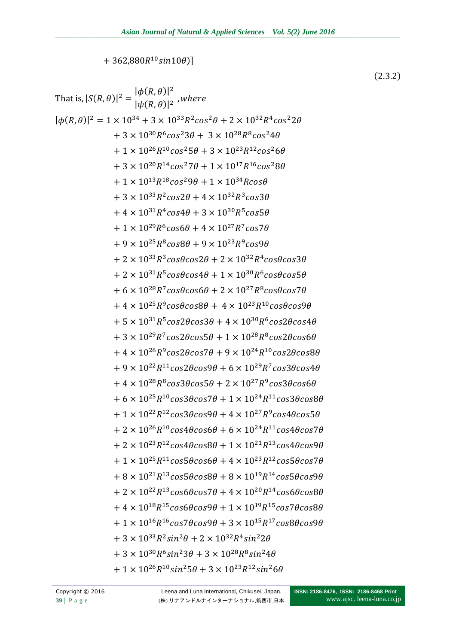$+362,880R^{10}sin10\theta$ ]

That is,  $|S(R, \theta)|^2 = \frac{|\phi(R, \theta)|^2}{|w(R, \theta)|^2}$ , where  $|\phi(R,\theta)|^2 = 1 \times 10^{34} + 3 \times 10^{33} R^2 cos^2 \theta + 2 \times 10^{32} R^4 cos^2 2\theta$  $+3 \times 10^{30} R^6 \cos^2 3\theta + 3 \times 10^{28} R^8 \cos^2 4\theta$  $+1 \times 10^{26} R^{10} \cos^2 5\theta + 3 \times 10^{23} R^{12} \cos^2 6\theta$  $+3 \times 10^{20} R^{14} \cos^2 7\theta + 1 \times 10^{17} R^{16} \cos^2 8\theta$  $+1 \times 10^{13} R^{18}$ cos<sup>2</sup>90 + 1 × 10<sup>34</sup> Rcos0  $+3 \times 10^{33} R^2 \cos 2\theta + 4 \times 10^{32} R^3 \cos 3\theta$  $+4 \times 10^{31} R^4 \cos 4\theta + 3 \times 10^{30} R^5 \cos 5\theta$  $+1 \times 10^{29} R^6 \cos 6\theta + 4 \times 10^{27} R^7 \cos 7\theta$  $+9 \times 10^{25} R^8 \cos 8\theta + 9 \times 10^{23} R^9 \cos 9\theta$ + 2  $\times$  10<sup>33</sup>R<sup>3</sup>cos $\theta$ cos2 $\theta$  + 2  $\times$  10<sup>32</sup>R<sup>4</sup>cos $\theta$ cos3 $\theta$  $+2 \times 10^{31} R^5 \cos\theta \cos 4\theta + 1 \times 10^{30} R^6 \cos\theta \cos 5\theta$  $+6 \times 10^{28} R^7 \cos\theta \cos 6\theta + 2 \times 10^{27} R^8 \cos\theta \cos 7\theta$  $+4 \times 10^{25} R^9 \cos\theta \cos 8\theta + 4 \times 10^{23} R^{10} \cos\theta \cos 9\theta$  $+5 \times 10^{31} R^5 \cos 2\theta \cos 3\theta + 4 \times 10^{30} R^6 \cos 2\theta \cos 4\theta$  $+3 \times 10^{29} R^7 \cos 2\theta \cos 5\theta + 1 \times 10^{28} R^8 \cos 2\theta \cos 6\theta$  $+4 \times 10^{26} R^9 \cos 2\theta \cos 7\theta + 9 \times 10^{24} R^{10} \cos 2\theta \cos 8\theta$  $+9 \times 10^{22} R^{11} \cos 2\theta \cos 9\theta + 6 \times 10^{29} R^7 \cos 3\theta \cos 4\theta$  $+4 \times 10^{28} R^8 \cos 3\theta \cos 5\theta + 2 \times 10^{27} R^9 \cos 3\theta \cos 6\theta$  $+6 \times 10^{25} R^{10} \cos 3\theta \cos 7\theta + 1 \times 10^{24} R^{11} \cos 3\theta \cos 8\theta$  $+1 \times 10^{22} R^{12} \cos 3\theta \cos 9\theta + 4 \times 10^{27} R^9 \cos 4\theta \cos 5\theta$  $+2 \times 10^{26} R^{10} \cos 4\theta \cos 6\theta + 6 \times 10^{24} R^{11} \cos 4\theta \cos 7\theta$  $+ 2 \times 10^{23} R^{12} \cos 4\theta \cos 8\theta + 1 \times 10^{21} R^{13} \cos 4\theta \cos 9\theta$  $+1 \times 10^{25} R^{11} \cos 5\theta \cos 6\theta + 4 \times 10^{23} R^{12} \cos 5\theta \cos 7\theta$  $+8 \times 10^{21} R^{13} \cos 5\theta \cos 8\theta + 8 \times 10^{19} R^{14} \cos 5\theta \cos 9\theta$  $+2 \times 10^{22} R^{13}$ cos6 $\theta$ cos7 $\theta$  + 4  $\times 10^{20} R^{14}$ cos6 $\theta$ cos8 $\theta$  $+4 \times 10^{18} R^{15} \cos 6\theta \cos 9\theta + 1 \times 10^{19} R^{15} \cos 7\theta \cos 8\theta$  $+1 \times 10^{16} R^{16} \cos(7\theta) \cos(9\theta) + 3 \times 10^{15} R^{17} \cos(8\theta) \cos(9\theta)$  $+3 \times 10^{33} R^2 \sin^2 \theta + 2 \times 10^{32} R^4 \sin^2 2\theta$  $+3 \times 10^{30} R^6 \sin^2 3\theta + 3 \times 10^{28} R^8 \sin^2 4\theta$  $+1 \times 10^{26} R^{10} sin^2 5\theta + 3 \times 10^{23} R^{12} sin^2 6\theta$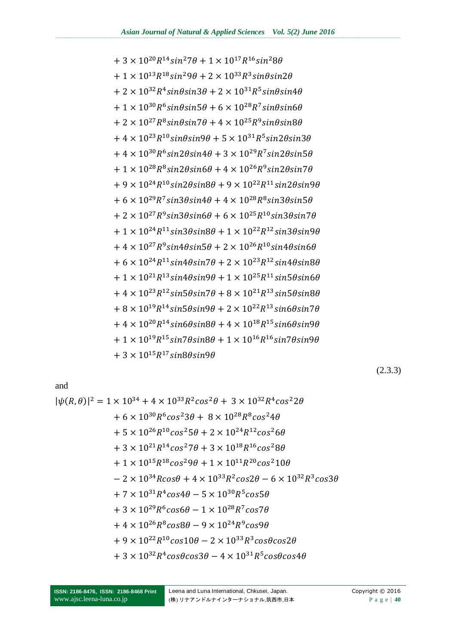+ 1 × 10<sup>15</sup>R<sup>18</sup>cos<sup>2</sup>9
$$
\theta
$$
 + 1 × 10<sup>11</sup>R<sup>20</sup>cos<sup>2</sup>10 $\theta$   
\n- 2 × 10<sup>34</sup>Rcos $\theta$  + 4 × 10<sup>33</sup>R<sup>2</sup>cos2 $\theta$  - 6 × 10<sup>32</sup>R<sup>3</sup>c $\theta$   
\n+ 7 × 10<sup>31</sup>R<sup>4</sup>cos4 $\theta$  - 5 × 10<sup>30</sup>R<sup>5</sup>cos5 $\theta$   
\n+ 3 × 10<sup>29</sup>R<sup>6</sup>cos6 $\theta$  - 1 × 10<sup>28</sup>R<sup>7</sup>cos7 $\theta$   
\n+ 4 × 10<sup>26</sup>R<sup>8</sup>cos8 $\theta$  - 9 × 10<sup>24</sup>R<sup>9</sup>cos9 $\theta$   
\n+ 9 × 10<sup>22</sup>R<sup>10</sup>cos10 $\theta$  - 2 × 10<sup>33</sup>R<sup>3</sup>cos $\theta$ cos2 $\theta$   
\n+ 3 × 10<sup>32</sup>R<sup>4</sup>cos $\theta$ cos3 $\theta$  - 4 × 10<sup>31</sup>R<sup>5</sup>cos $\theta$ cos4 $\theta$ 

$$
1.7 \times 10^{31}P4 \cos 4A
$$
  $E \times 10^{30}P5 \cos 5A$ 

$$
-2 \times 10^{-4} \text{RCOSB} + 4 \times 10^{-4} \text{R}^{-} \text{COSB} = 6 \times 10^{-4} \text{R}^{-} \text{COSB}
$$

$$
-2 \times 10^{34} R \cos \theta + 4 \times 10^{33} R^2 \cos 2\theta - 6 \times 10^{32} R^3 \cos 3\theta
$$

$$
+3 \times 10^{21} R^{11} C 0 S^2 / \theta + 3 \times 10^{10} R^{10} C 0 S^2 \theta \theta
$$

$$
+3 \times 10^{-5} \text{R}^{-3} \text{C} \text{C} \text{s}^{-3} \text{J} + 2 \times 10^{-5} \text{R}^{-3} \text{C} \text{C} \text{s}^{-1}
$$

$$
+5 \times 10^{26} R^{10} \cos^2 5\theta + 2 \times 10^{24} R^{12} \cos^2 6\theta
$$

$$
+5 \times 10^{26} R^{10} \cos^2 5\theta + 2 \times 10^{24} R^{12} \cos^2 6\theta
$$

$$
+5 \times 10^{26} R^{10} \cos^2 5\theta + 2 \times 10^{24} R^{12} \cos^2 6\theta
$$

$$
+5 \times 10^{26} R^{10} \cos^2 5\theta + 2 \times 10^{24} R^{12} \cos^2 6\theta
$$

$$
+5 \times 10^{20} R^{10} \cos^2 5\theta + 2 \times 10^{24} R^{12} \cos^2 6\theta
$$

$$
+5 \times 10^{-8}R^{20}C05^{25}H + 2 \times 10^{-8}R^{22}C05^{2}H
$$

$$
+ 5 \times 10^{26} R^{10} \cos^2 5\theta + 2 \times 10^{24} R^{12} \cos^2 6\theta
$$

$$
+5 \times 10^{20} K^{10} \cos^2 5\theta + 2 \times 10^{24} K^{12} \cos^2 6\theta
$$

$$
+5 \times 10^{26} R^{10} \cos^2 5\theta + 2 \times 10^{24} R^{12} \cos^2 6\theta
$$

$$
+5 \times 10^{20} R^{10} \cos^2 5\theta + 2 \times 10^{24} R^{12} \cos^2 6\theta
$$

$$
+5 \times 10^{26} R^{10} \cos^2 5\theta + 2 \times 10^{24} R^{12} \cos^2 6\theta
$$

$$
+5\times10^{26}R^{10}cos^25\theta + 2\times10^{24}R^{12}cos^26\theta
$$

$$
+ 5 \times 10^{26} R^{10} \cos^2 5\theta + 2 \times 10^{24} R^{12} \cos^2 6\theta
$$

$$
+6 \times 10^{30} R^6 \cos^2 3\theta + 8 \times 10^{28} R^8 \cos^2 4\theta
$$

+  $3 \times 10^{15} R^{17} sin8\theta sin9\theta$ 

and

$$
|\psi(R,\theta)|^2 = 1 \times 10^{34} + 4 \times 10^{33} R^2 \cos^2 \theta + 3 \times 10^{32} R^4 \cos^2 2\theta
$$
  
+ 6 \times 10^{30} R^6 \cos^2 3\theta + 8 \times 10^{28} R^8 \cos^2 4\theta

+ 
$$
4 \times 10^{33} R^2 \cos^2 \theta + 3 \times 10^{32} R^4 \cos^2 \theta
$$

$$
(2.3.3)
$$

 $n6\theta$  $n8\theta$  $n7\theta + 8 \times 10^{-7}$ ′sınь∀si  $+8\times10^{19}R^{14}sin5\theta sin9\theta + 2\times10^{22}R^{13}sin6\theta sin7\theta$  $+4 \times 10^{20} R^{14} sin6\theta sin8\theta + 4 \times 10^{18} R^{15} sin6\theta sin9\theta$  $+1 \times 10^{19} R^{15} sin7\theta sin8\theta + 1 \times 10^{16} R^{16} sin7\theta sin9\theta$ 

$$
+ 4 \times 10^{30} R^6 \sin 2\theta \sin 4\theta + 3 \times 10^{29} R^7 \sin 2\theta \sin 5\theta
$$
  
+ 1 \times 10^{28} R^8 \sin 2\theta \sin 6\theta + 4 \times 10^{26} R^9 \sin 2\theta \sin 7\theta  
+ 9 \times 10^{24} R^{10} \sin 2\theta \sin 8\theta + 9 \times 10^{22} R^{11} \sin 2\theta \sin 9\theta

$$
+ 1 \times 10^{30} R^{6} sin\theta sin5\theta + 6 \times 10^{28} R^{7} sin\theta sin6\theta
$$

$$
+ 2 \times 10^{27} R^{8} sin\theta sin7\theta + 4 \times 10^{25} R^{9} sin\theta sin8\theta
$$

$$
+ 1 \times 10^{38} K^{8} \sin\theta \sin 3\theta + 6 \times 10^{28} K^{8} \sin\theta \sin 3\theta
$$
  
+ 2 \times 10^{27} K^{8} \sin\theta \sin 7\theta + 4 \times 10^{25} K^{9} \sin\theta \sin 8\theta  
+ 4 \times 10^{23} K^{10} \sin\theta \sin 9\theta + 5 \times 10^{31} K^{5} \sin 2\theta \sin 3\theta

 $+3 \times 10^{20} R^{14} \sin^2 7\theta + 1 \times 10^{17} R^{16} \sin^2 8\theta$ 

 $+1 \times 10^{13} R^{18} sin^2 9\theta + 2 \times 10^{33} R^3 sin\theta sin2\theta$ 

+ 2  $\times$  10<sup>32</sup>R<sup>4</sup>sin $\theta$ sin3 $\theta$  + 2  $\times$  10<sup>31</sup>R<sup>5</sup>sin $\theta$ sin4 $\theta$ 

$$
2 \times 10^{27} R^8 \sin\theta \sin7\theta + 4 \times 10^{25} R^9 \sin\theta \sin8\theta
$$
  

$$
4 \times 10^{23} R^{10} \sin\theta \sin9\theta + 5 \times 10^{31} R^5 \sin2\theta \sin3\theta
$$

$$
\times 10^{23} R^{10} \sin\theta \sin 9\theta + 5 \times 10^{31} R^5 \sin 2\theta \sin 3\theta
$$

$$
4\times10^{23}R^{10}sin\theta sin9\theta + 5\times10^{31}R^{5}sin2\theta sin3\theta
$$

$$
-4 \times 10^{23} R^{10} sin\theta sin9\theta + 5 \times 10^{31} R^5 sin2\theta sin3\theta
$$

$$
+ 4 \times 10^{23} R^{10} \sin\theta \sin 9\theta + 5 \times 10^{31} R^{5} \sin 2\theta \sin 3\theta
$$

$$
+ 4 \times 10^{25} K^{25} \sin \theta \sin 9\theta + 5 \times 10^{31} K^{5} \sin 2\theta \sin 3\theta
$$
  

$$
+ 4 \times 10^{30} P^6 \sin 2\theta \sin 4\theta + 2 \times 10^{29} P^7 \sin 2\theta \sin 5\theta
$$

$$
+ 4 \times 10^{-16} \text{ N} \sin(36\pi/10^2) + 3 \times 10^{-16} \text{ N} \sin(26\pi/10^2)
$$
  
+ 4 \times 10<sup>30</sup>R<sup>6</sup> sin2\theta sin4\theta + 3 \times 10<sup>29</sup>R<sup>7</sup> sin2\theta sin5\theta

$$
+4 \times 10^{23} R^{10} sin\theta sin9\theta + 5 \times 10^{31} R^5 sin2\theta sin3\theta
$$

$$
4 \times 10^{23} R^{10} \sin\theta \sin 9\theta + 5 \times 10^{31} R^5 \sin 2\theta \sin 3\theta
$$

$$
4 \times 10^{23} R^{10} \sin\theta \sin\theta + 5 \times 10^{31} R^5 \sin\theta \sin\theta
$$
  

$$
4 \times 10^{30} R^6 \sin\theta \sin\theta \sin\theta + 2 \times 10^{29} R^7 \sin\theta \sin\theta \sin\theta
$$

$$
4 \times 10^{30} R^6 sin2\theta sin4\theta + 3 \times 10^{29} R^7 sin2\theta sin5
$$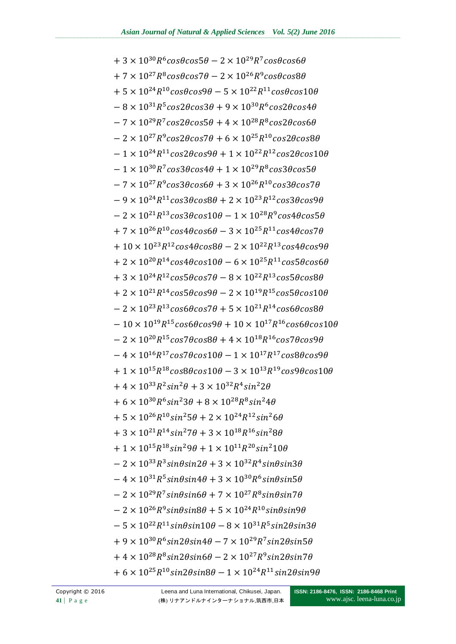$+3 \times 10^{30} R^6 \cos\theta \cos 5\theta - 2 \times 10^{29} R^7 \cos\theta \cos 6\theta$  $+7 \times 10^{27} R^8 \cos\theta \cos7\theta - 2 \times 10^{26} R^9 \cos\theta \cos8\theta$  $+5 \times 10^{24} R^{10} \cos\theta \cos9\theta - 5 \times 10^{22} R^{11} \cos\theta \cos10\theta$  $-8 \times 10^{31} R^{5} \cos 2\theta \cos 3\theta + 9 \times 10^{30} R^{6} \cos 2\theta \cos 4\theta$  $-7 \times 10^{29} R^7 \cos 2\theta \cos 5\theta + 4 \times 10^{28} R^8 \cos 2\theta \cos 6\theta$  $-2 \times 10^{27} R^9 \cos 2\theta \cos 7\theta + 6 \times 10^{25} R^{10} \cos 2\theta \cos 8\theta$  $-1 \times 10^{24} R^{11} \cos 2\theta \cos 9\theta + 1 \times 10^{22} R^{12} \cos 2\theta \cos 10\theta$  $-1 \times 10^{30} R^7 \cos 3\theta \cos 4\theta + 1 \times 10^{29} R^8 \cos 3\theta \cos 5\theta$  $-7 \times 10^{27} R^9 \cos 3\theta \cos 6\theta + 3 \times 10^{26} R^{10} \cos 3\theta \cos 7\theta$  $-9 \times 10^{24} R^{11} \cos 3\theta \cos 8\theta + 2 \times 10^{23} R^{12} \cos 3\theta \cos 9\theta$  $-2 \times 10^{21} R^{13} \cos 3\theta \cos 10\theta - 1 \times 10^{28} R^9 \cos 4\theta \cos 5\theta$  $+7 \times 10^{26} R^{10} \cos 4\theta \cos 6\theta - 3 \times 10^{25} R^{11} \cos 4\theta \cos 7\theta$  $+10\times10^{23}R^{12}cos4\theta cos8\theta - 2\times10^{22}R^{13}cos4\theta cos9\theta$  $+2 \times 10^{20} R^{14} \cos 4\theta \cos 10\theta - 6 \times 10^{25} R^{11} \cos 5\theta \cos 6\theta$  $+3 \times 10^{24} R^{12} \cos 5\theta \cos 7\theta - 8 \times 10^{22} R^{13} \cos 5\theta \cos 8\theta$  $+2 \times 10^{21} R^{14} \cos 5\theta \cos 9\theta - 2 \times 10^{19} R^{15} \cos 5\theta \cos 10\theta$  $-2 \times 10^{23} R^{13} \cos 6\theta \cos 7\theta + 5 \times 10^{21} R^{14} \cos 6\theta \cos 8\theta$  $-10 \times 10^{19} R^{15} \cos 6\theta \cos 9\theta + 10 \times 10^{17} R^{16} \cos 6\theta \cos 10\theta$  $-2 \times 10^{20} R^{15} \cos(7\theta) \cos(8\theta) + 4 \times 10^{18} R^{16} \cos(7\theta) \cos(9\theta)$  $-4 \times 10^{16} R^{17} \cos 7 \theta \cos 10 \theta - 1 \times 10^{17} R^{17} \cos 8 \theta \cos 9 \theta$  $+1 \times 10^{15} R^{18} \cos 8\theta \cos 10\theta - 3 \times 10^{13} R^{19} \cos 9\theta \cos 10\theta$ + 4 × 10<sup>33</sup> $R^2 sin^2 \theta$  + 3 × 10<sup>32</sup> $R^4 sin^2 2\theta$  $+6 \times 10^{30} R^6 \sin^2 3\theta + 8 \times 10^{28} R^8 \sin^2 4\theta$  $+5 \times 10^{26} R^{10} sin^2 5\theta + 2 \times 10^{24} R^{12} sin^2 6\theta$  $+3 \times 10^{21} R^{14} sin^2 7\theta + 3 \times 10^{18} R^{16} sin^2 8\theta$  $+1 \times 10^{15} R^{18} sin^2 9\theta + 1 \times 10^{11} R^{20} sin^2 10\theta$  $-2 \times 10^{33} R^3 sin\theta sin2\theta + 3 \times 10^{32} R^4 sin\theta sin3\theta$  $-4 \times 10^{31} R^{5} sin\theta sin4\theta + 3 \times 10^{30} R^{6} sin\theta sin5\theta$  $-2 \times 10^{29} R^7 \sin\theta \sin 6\theta + 7 \times 10^{27} R^8 \sin\theta \sin 7\theta$  $-2 \times 10^{26} R^9 \sin\theta \sin 8\theta + 5 \times 10^{24} R^{10} \sin\theta \sin 9\theta$  $-5 \times 10^{22} R^{11} sin\theta sin10\theta - 8 \times 10^{31} R^5 sin2\theta sin3\theta$  $+9 \times 10^{30} R^6 \sin 2\theta \sin 4\theta - 7 \times 10^{29} R^7 \sin 2\theta \sin 5\theta$ +  $4 \times 10^{28}R^8 sin2\theta sin6\theta - 2 \times 10^{27}R^9 sin2\theta sin7\theta$  $+6 \times 10^{25} R^{10} sin2\theta sin8\theta - 1 \times 10^{24} R^{11} sin2\theta sin9\theta$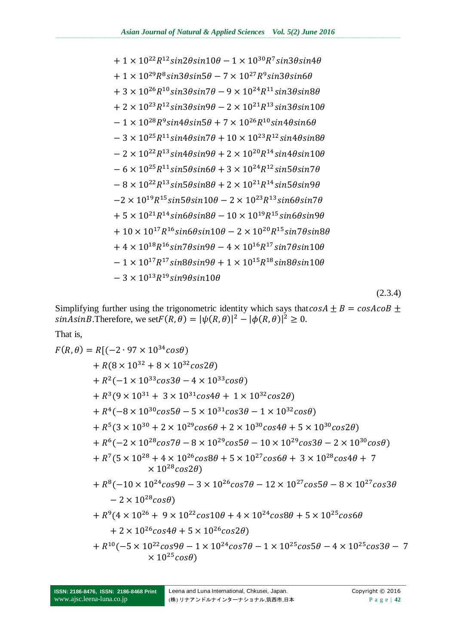$(2.3.4)$ 

Simplifying further using the trigonometric identity which says that  $c$  $sinAsinB$ . Therefore, we set  $F(R,\theta) = |\psi(R,\theta)|^2 - |\phi(R,\theta)|^2$ 

That is,

$$
F(R, \theta) = R[(-2 \cdot 97 \times 10^{34} \cos \theta) + R(8 \times 10^{32} + 8 \times 10^{32} \cos 2\theta) + R^2(-1 \times 10^{33} \cos 3\theta - 4 \times 10^{33} \cos \theta) + R^3(9 \times 10^{31} + 3 \times 10^{31} \cos 4\theta + 1 \times 10^{32} \cos 2\theta) + R^4(-8 \times 10^{30} \cos 5\theta - 5 \times 10^{31} \cos 3\theta - 1 \times 10^{32} \cos \theta) + R^5(3 \times 10^{30} + 2 \times 10^{29} \cos 6\theta + 2 \times 10^{30} \cos 4\theta + 5 \times 10^{30} \cos 2\theta) + R^6(-2 \times 10^{28} \cos 7\theta - 8 \times 10^{29} \cos 5\theta - 10 \times 10^{29} \cos 3\theta - 2 \times 10^{30} \cos \theta) + R^7(5 \times 10^{28} + 4 \times 10^{26} \cos 8\theta + 5 \times 10^{27} \cos 6\theta + 3 \times 10^{28} \cos 4\theta + 7 + 10^{28} \cos 2\theta) + R^8(-10 \times 10^{24} \cos 9\theta - 3 \times 10^{26} \cos 7\theta - 12 \times 10^{27} \cos 5\theta - 8 \times 10^{27} \cos 3\theta - 2 \times 10^{28} \cos \theta) - 2 \times 10^{28} \cos \theta + R^9(4 \times 10^{26} + 9 \times 10^{22} \cos 10\theta + 4 \times 10^{24} \cos 8\theta + 5 \times 10^{25} \cos 6\theta + 2 \times 10^{26} \cos 4\theta + 5 \times 10^{26} \cos 2\theta) + R^{10}(-5 \times 10^{22} \cos 9\theta - 1 \times 10^{24} \cos 7\theta - 1 \times 10^{25} \cos 5\theta - 4 \times 10^{25} \cos
$$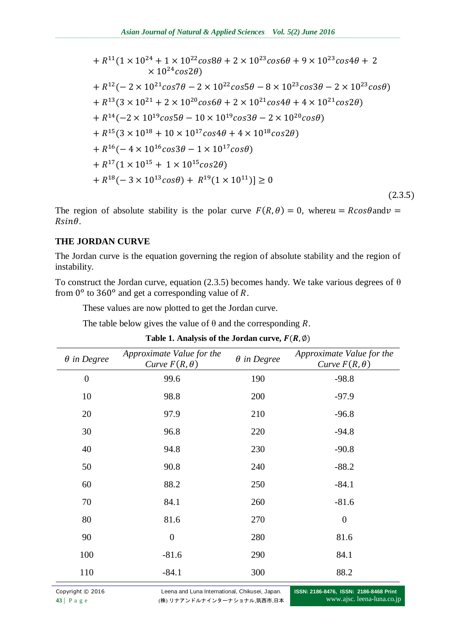+ 
$$
R^{11}(1 \times 10^{24} + 1 \times 10^{22} \cos 8\theta + 2 \times 10^{23} \cos 6\theta + 9 \times 10^{23} \cos 4\theta + 2
$$
  
\n $\times 10^{24} \cos 2\theta$ )  
\n+  $R^{12}(-2 \times 10^{21} \cos 7\theta - 2 \times 10^{22} \cos 5\theta - 8 \times 10^{23} \cos 3\theta - 2 \times 10^{23} \cos \theta)$   
\n+  $R^{13}(3 \times 10^{21} + 2 \times 10^{20} \cos 6\theta + 2 \times 10^{21} \cos 4\theta + 4 \times 10^{21} \cos 2\theta)$   
\n+  $R^{14}(-2 \times 10^{19} \cos 5\theta - 10 \times 10^{19} \cos 3\theta - 2 \times 10^{20} \cos \theta)$   
\n+  $R^{15}(3 \times 10^{18} + 10 \times 10^{17} \cos 4\theta + 4 \times 10^{18} \cos 2\theta)$   
\n+  $R^{16}(-4 \times 10^{16} \cos 3\theta - 1 \times 10^{17} \cos \theta)$   
\n+  $R^{17}(1 \times 10^{15} + 1 \times 10^{15} \cos 2\theta)$   
\n+  $R^{18}(-3 \times 10^{13} \cos \theta) + R^{19}(1 \times 10^{11})] \ge 0$  (2.3.5)

The region of absolute stability is the polar curve  $F(R, \theta) = 0$ , where  $u = R \cos \theta$  and  $v =$  $Rsin\theta$ .

### **THE JORDAN CURVE**

The Jordan curve is the equation governing the region of absolute stability and the region of instability.

To construct the Jordan curve, equation (2.3.5) becomes handy. We take various degrees of  $\theta$ from  $0^{\circ}$  to 360° and get a corresponding value of R.

These values are now plotted to get the Jordan curve.

The table below gives the value of  $\theta$  and the corresponding R.

| $\theta$ in Degree | Approximate Value for the<br>Curve $F(R, \theta)$ | $\theta$ in Degree | Approximate Value for the<br>Curve $F(R, \theta)$ |
|--------------------|---------------------------------------------------|--------------------|---------------------------------------------------|
| $\boldsymbol{0}$   | 99.6                                              | 190                | $-98.8$                                           |
| 10                 | 98.8                                              | 200                | $-97.9$                                           |
| 20                 | 97.9                                              | 210                | $-96.8$                                           |
| 30                 | 96.8                                              | 220                | $-94.8$                                           |
| 40                 | 94.8                                              | 230                | $-90.8$                                           |
| 50                 | 90.8                                              | 240                | $-88.2$                                           |
| 60                 | 88.2                                              | 250                | $-84.1$                                           |
| 70                 | 84.1                                              | 260                | $-81.6$                                           |
| 80                 | 81.6                                              | 270                | $\boldsymbol{0}$                                  |
| 90                 | $\boldsymbol{0}$                                  | 280                | 81.6                                              |
| 100                | $-81.6$                                           | 290                | 84.1                                              |
| 110                | $-84.1$                                           | 300                | 88.2                                              |

Table 1. Analysis of the Jordan curve,  $F(R, \emptyset)$ 

Copyright © 2016 Leena and Luna International, Chikusei, Japan. 43 | P a g e (株) リナアンドルナインターナショナル,筑西市,日本

**ISSN: 2186-8476, ISSN: 2186-8468 Print** www.ajsc. leena-luna.co.jp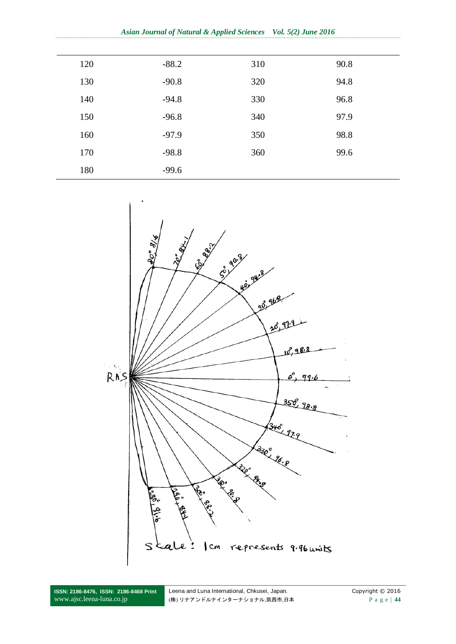*Asian Journal of Natural & Applied Sciences Vol. 5(2) June 2016*

| 120 | $-88.2$ | 310 | 90.8 |
|-----|---------|-----|------|
| 130 | $-90.8$ | 320 | 94.8 |
| 140 | $-94.8$ | 330 | 96.8 |
| 150 | $-96.8$ | 340 | 97.9 |
| 160 | $-97.9$ | 350 | 98.8 |
| 170 | $-98.8$ | 360 | 99.6 |
| 180 | $-99.6$ |     |      |



**ISSN: 2186-8476, ISSN: 2186-8468 Print** www.ajsc.leena-luna.co.jp

Leena and Luna International, Chkusei, Japan. Copyright © 2016 (株) リナアンドルナインターナショナル,筑西市,日本 P a g e | **44**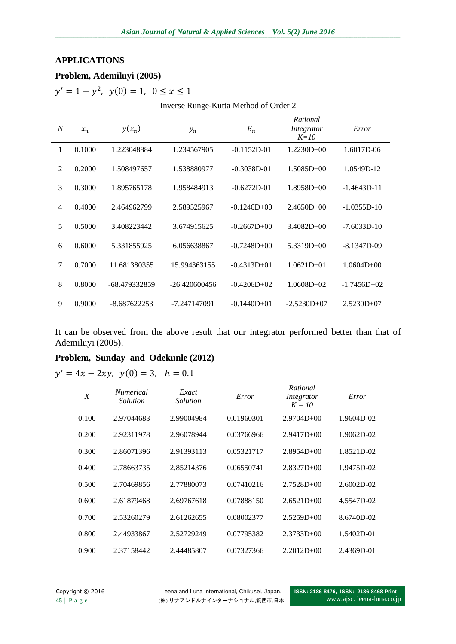#### **APPLICATIONS**

#### **Problem, Ademiluyi (2005)**

 $y' = 1 + y^2$ ,

Inverse Runge-Kutta Method of Order 2

| $\boldsymbol{N}$ | $x_n$  | $y(x_n)$       | $y_n$           | $E_n$           | Rational<br>Integrator<br>$K=10$ | Error          |
|------------------|--------|----------------|-----------------|-----------------|----------------------------------|----------------|
| 1                | 0.1000 | 1.223048884    | 1.234567905     | $-0.1152D-01$   | $1.2230D+00$                     | 1.6017D-06     |
| $\overline{2}$   | 0.2000 | 1.508497657    | 1.538880977     | $-0.3038D - 01$ | $1.5085D+00$                     | 1.0549D-12     |
| 3                | 0.3000 | 1.895765178    | 1.958484913     | $-0.6272D-01$   | $1.8958D + 00$                   | $-1.4643D-11$  |
| $\overline{4}$   | 0.4000 | 2.464962799    | 2.589525967     | $-0.1246D+00$   | $2.4650D + 00$                   | $-1.0355D-10$  |
| 5                | 0.5000 | 3.408223442    | 3.674915625     | $-0.2667D+00$   | $3.4082D + 00$                   | $-7.6033D-10$  |
| 6                | 0.6000 | 5.331855925    | 6.056638867     | $-0.7248D+00$   | $5.3319D+00$                     | $-8.1347D-09$  |
| 7                | 0.7000 | 11.681380355   | 15.994363155    | $-0.4313D+01$   | $1.0621D + 01$                   | $1.0604D + 00$ |
| 8                | 0.8000 | -68.479332859  | $-26.420600456$ | $-0.4206D+02$   | $1.0608D + 02$                   | $-1.7456D+02$  |
| 9                | 0.9000 | $-8.687622253$ | -7.247147091    | $-0.1440D+01$   | $-2.5230D+07$                    | $2.5230D + 07$ |

It can be observed from the above result that our integrator performed better than that of Ademiluyi (2005).

#### **Problem, Sunday and Odekunle (2012)**

 $y'$ 

| $\boldsymbol{X}$ | <i>Numerical</i><br>Solution | Exact<br>Solution | Error      | Rational<br>Integrator<br>$K = 10$ | Error        |
|------------------|------------------------------|-------------------|------------|------------------------------------|--------------|
| 0.100            | 2.97044683                   | 2.99004984        | 0.01960301 | $2.9704D + 00$                     | 1.9604D-02   |
| 0.200            | 2.92311978                   | 2.96078944        | 0.03766966 | $2.9417D + 00$                     | 1.9062D-02   |
| 0.300            | 2.86071396                   | 2.91393113        | 0.05321717 | $2.8954D+00$                       | 1.8521D-02   |
| 0.400            | 2.78663735                   | 2.85214376        | 0.06550741 | $2.8327D + 00$                     | 1.9475D-02   |
| 0.500            | 2.70469856                   | 2.77880073        | 0.07410216 | $2.7528D + 00$                     | $2.6002D-02$ |
| 0.600            | 2.61879468                   | 2.69767618        | 0.07888150 | $2.6521D+00$                       | 4.5547D-02   |
| 0.700            | 2.53260279                   | 2.61262655        | 0.08002377 | $2.5259D+00$                       | 8.6740D-02   |
| 0.800            | 2.44933867                   | 2.52729249        | 0.07795382 | $2.3733D+00$                       | 1.5402D-01   |
| 0.900            | 2.37158442                   | 2.44485807        | 0.07327366 | $2.2012D+00$                       | 2.4369D-01   |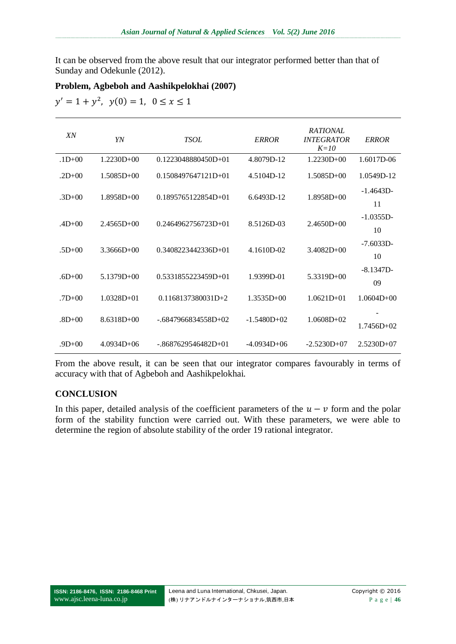It can be observed from the above result that our integrator performed better than that of Sunday and Odekunle (2012).

### **Problem, Agbeboh and Aashikpelokhai (2007)**

 $y' = 1 + y^2$ ,

| XN         | YN             | <b>TSOL</b>            | <b>ERROR</b>  | <b>RATIONAL</b><br><b>INTEGRATOR</b><br>$K=10$ | <b>ERROR</b>       |
|------------|----------------|------------------------|---------------|------------------------------------------------|--------------------|
| $.1D+00$   | $1.2230D+00$   | 0.1223048880450D+01    | 4.8079D-12    | $1.2230D+00$                                   | 1.6017D-06         |
| $.2D+00$   | $1.5085D+00$   | $0.1508497647121D+01$  | 4.5104D-12    | $1.5085D+00$                                   | 1.0549D-12         |
| $.3D+00$   | $1.8958D + 00$ | $0.1895765122854D+01$  | 6.6493D-12    | $1.8958D + 00$                                 | $-1.4643D$<br>11   |
| $.4D+00$   | $2.4565D+00$   | $0.2464962756723D+01$  | 8.5126D-03    | $2.4650D + 00$                                 | $-1.0355D$<br>10   |
| $.5D+00$   | $3.3666D+00$   | $0.3408223442336D+01$  | 4.1610D-02    | $3.4082D + 00$                                 | $-7.6033D -$<br>10 |
| $.6D+00$   | $5.1379D + 00$ | $0.5331855223459D+01$  | 1.9399D-01    | $5.3319D + 00$                                 | $-8.1347D-$<br>09  |
| $.7D + 00$ | $1.0328D + 01$ | $0.1168137380031D + 2$ | $1.3535D+00$  | $1.0621D + 01$                                 | $1.0604D + 00$     |
| $.8D + 00$ | $8.6318D + 00$ | $-6847966834558D+02$   | $-1.5480D+02$ | $1.0608D + 02$                                 | $1.7456D+02$       |
| $.9D+00$   | $4.0934D + 06$ | $-.8687629546482D+01$  | $-4.0934D+06$ | $-2.5230D+07$                                  | $2.5230D+07$       |

From the above result, it can be seen that our integrator compares favourably in terms of accuracy with that of Agbeboh and Aashikpelokhai.

#### **CONCLUSION**

In this paper, detailed analysis of the coefficient parameters of the  $u - v$  form and the polar form of the stability function were carried out. With these parameters, we were able to determine the region of absolute stability of the order 19 rational integrator.